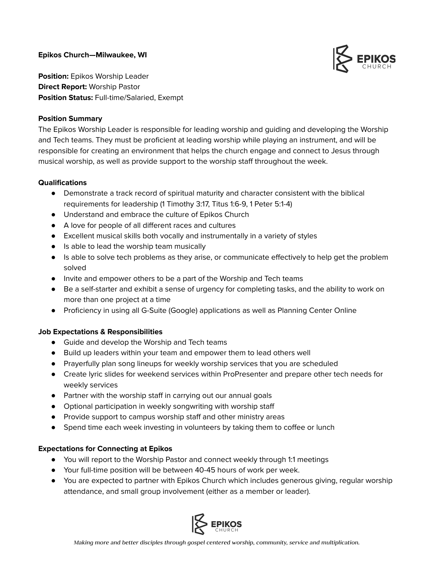**Epikos Church—Milwaukee, WI**



**Position:** Epikos Worship Leader **Direct Report:** Worship Pastor **Position Status:** Full-time/Salaried, Exempt

## **Position Summary**

The Epikos Worship Leader is responsible for leading worship and guiding and developing the Worship and Tech teams. They must be proficient at leading worship while playing an instrument, and will be responsible for creating an environment that helps the church engage and connect to Jesus through musical worship, as well as provide support to the worship staff throughout the week.

## **Qualifications**

- Demonstrate a track record of spiritual maturity and character consistent with the biblical requirements for leadership (1 Timothy 3:17, Titus 1:6-9, 1 Peter 5:1-4)
- Understand and embrace the culture of Epikos Church
- A love for people of all different races and cultures
- Excellent musical skills both vocally and instrumentally in a variety of styles
- Is able to lead the worship team musically
- Is able to solve tech problems as they arise, or communicate effectively to help get the problem solved
- Invite and empower others to be a part of the Worship and Tech teams
- Be a self-starter and exhibit a sense of urgency for completing tasks, and the ability to work on more than one project at a time
- Proficiency in using all G-Suite (Google) applications as well as Planning Center Online

## **Job Expectations & Responsibilities**

- Guide and develop the Worship and Tech teams
- Build up leaders within your team and empower them to lead others well
- Prayerfully plan song lineups for weekly worship services that you are scheduled
- Create lyric slides for weekend services within ProPresenter and prepare other tech needs for weekly services
- Partner with the worship staff in carrying out our annual goals
- Optional participation in weekly songwriting with worship staff
- Provide support to campus worship staff and other ministry areas
- Spend time each week investing in volunteers by taking them to coffee or lunch

## **Expectations for Connecting at Epikos**

- You will report to the Worship Pastor and connect weekly through 1:1 meetings
- Your full-time position will be between 40-45 hours of work per week.
- You are expected to partner with Epikos Church which includes generous giving, regular worship attendance, and small group involvement (either as a member or leader).